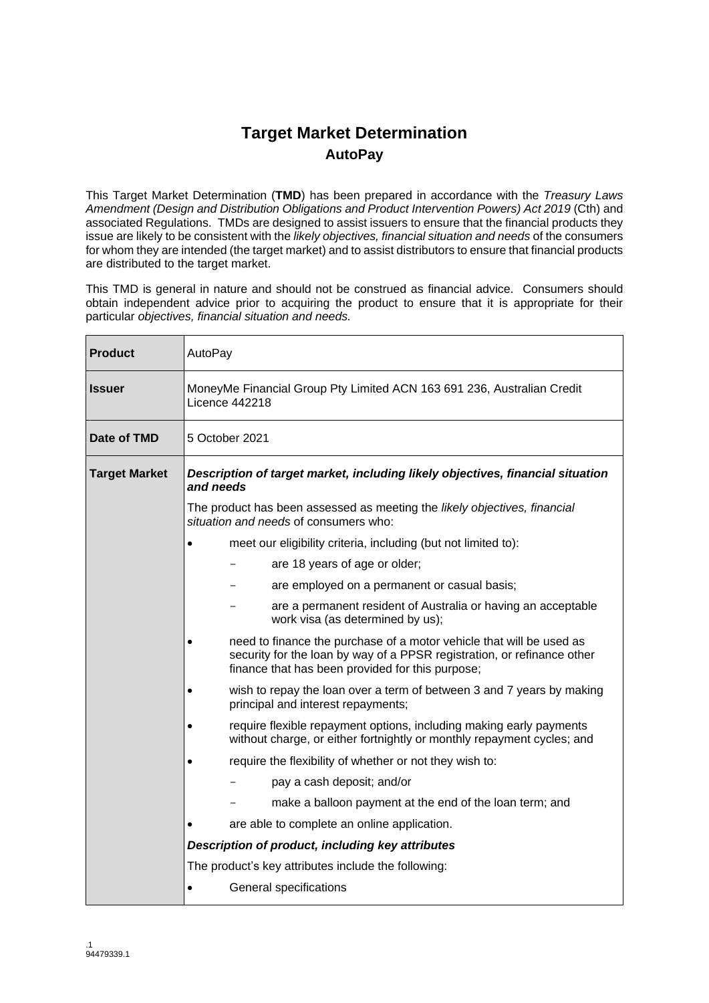## **Target Market Determination AutoPay**

This Target Market Determination (**TMD**) has been prepared in accordance with the *Treasury Laws Amendment (Design and Distribution Obligations and Product Intervention Powers) Act 2019* (Cth) and associated Regulations. TMDs are designed to assist issuers to ensure that the financial products they issue are likely to be consistent with the *likely objectives, financial situation and needs* of the consumers for whom they are intended (the target market) and to assist distributors to ensure that financial products are distributed to the target market.

This TMD is general in nature and should not be construed as financial advice. Consumers should obtain independent advice prior to acquiring the product to ensure that it is appropriate for their particular *objectives, financial situation and needs.*

| <b>Product</b>       | AutoPay                                                                                         |                                                                                                                                                                                                     |  |  |
|----------------------|-------------------------------------------------------------------------------------------------|-----------------------------------------------------------------------------------------------------------------------------------------------------------------------------------------------------|--|--|
| <b>Issuer</b>        | MoneyMe Financial Group Pty Limited ACN 163 691 236, Australian Credit<br><b>Licence 442218</b> |                                                                                                                                                                                                     |  |  |
| Date of TMD          |                                                                                                 | 5 October 2021                                                                                                                                                                                      |  |  |
| <b>Target Market</b> | Description of target market, including likely objectives, financial situation<br>and needs     |                                                                                                                                                                                                     |  |  |
|                      |                                                                                                 | The product has been assessed as meeting the likely objectives, financial<br>situation and needs of consumers who:                                                                                  |  |  |
|                      |                                                                                                 | meet our eligibility criteria, including (but not limited to):                                                                                                                                      |  |  |
|                      |                                                                                                 | are 18 years of age or older;                                                                                                                                                                       |  |  |
|                      |                                                                                                 | are employed on a permanent or casual basis;                                                                                                                                                        |  |  |
|                      |                                                                                                 | are a permanent resident of Australia or having an acceptable<br>work visa (as determined by us);                                                                                                   |  |  |
|                      |                                                                                                 | need to finance the purchase of a motor vehicle that will be used as<br>security for the loan by way of a PPSR registration, or refinance other<br>finance that has been provided for this purpose; |  |  |
|                      |                                                                                                 | wish to repay the loan over a term of between 3 and 7 years by making<br>principal and interest repayments;                                                                                         |  |  |
|                      |                                                                                                 | require flexible repayment options, including making early payments<br>without charge, or either fortnightly or monthly repayment cycles; and                                                       |  |  |
|                      |                                                                                                 | require the flexibility of whether or not they wish to:                                                                                                                                             |  |  |
|                      |                                                                                                 | pay a cash deposit; and/or                                                                                                                                                                          |  |  |
|                      |                                                                                                 | make a balloon payment at the end of the loan term; and                                                                                                                                             |  |  |
|                      |                                                                                                 | are able to complete an online application.                                                                                                                                                         |  |  |
|                      | Description of product, including key attributes                                                |                                                                                                                                                                                                     |  |  |
|                      |                                                                                                 | The product's key attributes include the following:                                                                                                                                                 |  |  |
|                      |                                                                                                 | General specifications                                                                                                                                                                              |  |  |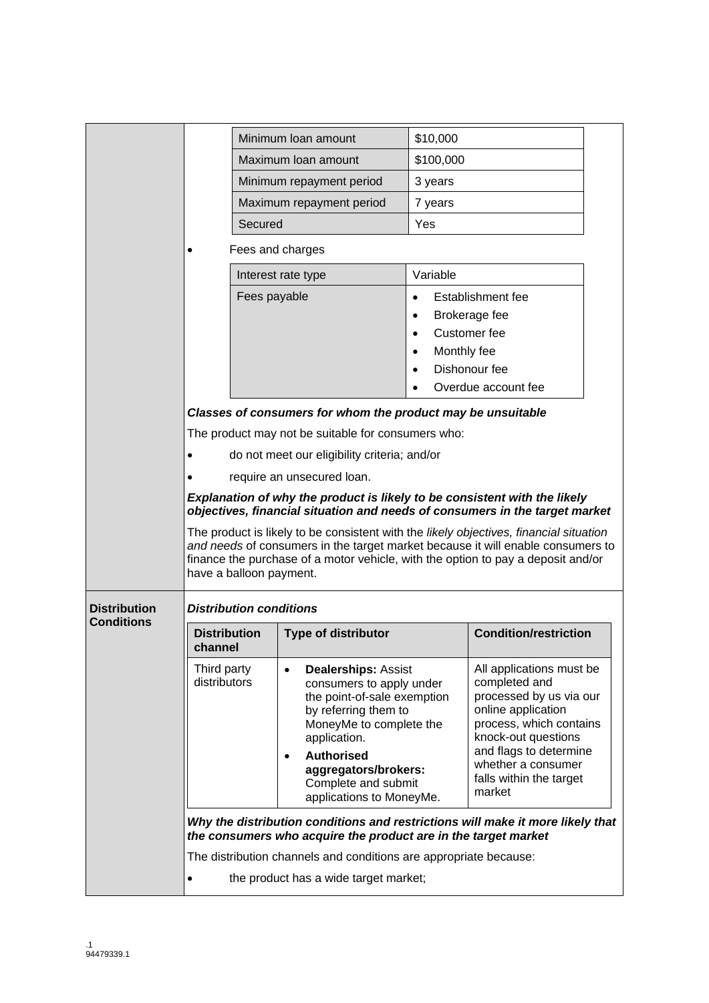|                     |                                                                                                                                                  |                                                                                                                                                                                                                                                                                          | Minimum Ioan amount                                                                                                                                                                                                                                                   | \$10,000    |                                                                                                                                                                                                                                   |  |
|---------------------|--------------------------------------------------------------------------------------------------------------------------------------------------|------------------------------------------------------------------------------------------------------------------------------------------------------------------------------------------------------------------------------------------------------------------------------------------|-----------------------------------------------------------------------------------------------------------------------------------------------------------------------------------------------------------------------------------------------------------------------|-------------|-----------------------------------------------------------------------------------------------------------------------------------------------------------------------------------------------------------------------------------|--|
|                     |                                                                                                                                                  |                                                                                                                                                                                                                                                                                          | Maximum Ioan amount                                                                                                                                                                                                                                                   | \$100,000   |                                                                                                                                                                                                                                   |  |
|                     |                                                                                                                                                  |                                                                                                                                                                                                                                                                                          | Minimum repayment period                                                                                                                                                                                                                                              | 3 years     |                                                                                                                                                                                                                                   |  |
|                     |                                                                                                                                                  |                                                                                                                                                                                                                                                                                          | Maximum repayment period                                                                                                                                                                                                                                              | 7 years     |                                                                                                                                                                                                                                   |  |
|                     |                                                                                                                                                  | Secured                                                                                                                                                                                                                                                                                  |                                                                                                                                                                                                                                                                       | Yes         |                                                                                                                                                                                                                                   |  |
|                     |                                                                                                                                                  |                                                                                                                                                                                                                                                                                          | Fees and charges                                                                                                                                                                                                                                                      |             |                                                                                                                                                                                                                                   |  |
|                     |                                                                                                                                                  |                                                                                                                                                                                                                                                                                          | Interest rate type                                                                                                                                                                                                                                                    | Variable    |                                                                                                                                                                                                                                   |  |
|                     |                                                                                                                                                  | Fees payable                                                                                                                                                                                                                                                                             |                                                                                                                                                                                                                                                                       |             | Establishment fee                                                                                                                                                                                                                 |  |
|                     |                                                                                                                                                  |                                                                                                                                                                                                                                                                                          |                                                                                                                                                                                                                                                                       | $\bullet$   | Brokerage fee                                                                                                                                                                                                                     |  |
|                     |                                                                                                                                                  |                                                                                                                                                                                                                                                                                          |                                                                                                                                                                                                                                                                       |             | Customer fee                                                                                                                                                                                                                      |  |
|                     |                                                                                                                                                  |                                                                                                                                                                                                                                                                                          |                                                                                                                                                                                                                                                                       | Monthly fee | Dishonour fee                                                                                                                                                                                                                     |  |
|                     |                                                                                                                                                  |                                                                                                                                                                                                                                                                                          |                                                                                                                                                                                                                                                                       |             | Overdue account fee                                                                                                                                                                                                               |  |
|                     |                                                                                                                                                  |                                                                                                                                                                                                                                                                                          | Classes of consumers for whom the product may be unsuitable                                                                                                                                                                                                           |             |                                                                                                                                                                                                                                   |  |
|                     |                                                                                                                                                  |                                                                                                                                                                                                                                                                                          | The product may not be suitable for consumers who:                                                                                                                                                                                                                    |             |                                                                                                                                                                                                                                   |  |
|                     |                                                                                                                                                  |                                                                                                                                                                                                                                                                                          | do not meet our eligibility criteria; and/or                                                                                                                                                                                                                          |             |                                                                                                                                                                                                                                   |  |
|                     |                                                                                                                                                  |                                                                                                                                                                                                                                                                                          | require an unsecured loan.                                                                                                                                                                                                                                            |             |                                                                                                                                                                                                                                   |  |
|                     |                                                                                                                                                  | Explanation of why the product is likely to be consistent with the likely<br>objectives, financial situation and needs of consumers in the target market                                                                                                                                 |                                                                                                                                                                                                                                                                       |             |                                                                                                                                                                                                                                   |  |
|                     |                                                                                                                                                  | The product is likely to be consistent with the likely objectives, financial situation<br>and needs of consumers in the target market because it will enable consumers to<br>finance the purchase of a motor vehicle, with the option to pay a deposit and/or<br>have a balloon payment. |                                                                                                                                                                                                                                                                       |             |                                                                                                                                                                                                                                   |  |
| <b>Distribution</b> |                                                                                                                                                  | <b>Distribution conditions</b>                                                                                                                                                                                                                                                           |                                                                                                                                                                                                                                                                       |             |                                                                                                                                                                                                                                   |  |
| <b>Conditions</b>   | <b>Distribution</b><br>channel                                                                                                                   |                                                                                                                                                                                                                                                                                          | <b>Type of distributor</b>                                                                                                                                                                                                                                            |             | <b>Condition/restriction</b>                                                                                                                                                                                                      |  |
|                     | Third party<br>distributors                                                                                                                      |                                                                                                                                                                                                                                                                                          | <b>Dealerships: Assist</b><br>$\bullet$<br>consumers to apply under<br>the point-of-sale exemption<br>by referring them to<br>MoneyMe to complete the<br>application.<br><b>Authorised</b><br>aggregators/brokers:<br>Complete and submit<br>applications to MoneyMe. |             | All applications must be<br>completed and<br>processed by us via our<br>online application<br>process, which contains<br>knock-out questions<br>and flags to determine<br>whether a consumer<br>falls within the target<br>market |  |
|                     | Why the distribution conditions and restrictions will make it more likely that<br>the consumers who acquire the product are in the target market |                                                                                                                                                                                                                                                                                          |                                                                                                                                                                                                                                                                       |             |                                                                                                                                                                                                                                   |  |
|                     | The distribution channels and conditions are appropriate because:                                                                                |                                                                                                                                                                                                                                                                                          |                                                                                                                                                                                                                                                                       |             |                                                                                                                                                                                                                                   |  |
|                     | the product has a wide target market;                                                                                                            |                                                                                                                                                                                                                                                                                          |                                                                                                                                                                                                                                                                       |             |                                                                                                                                                                                                                                   |  |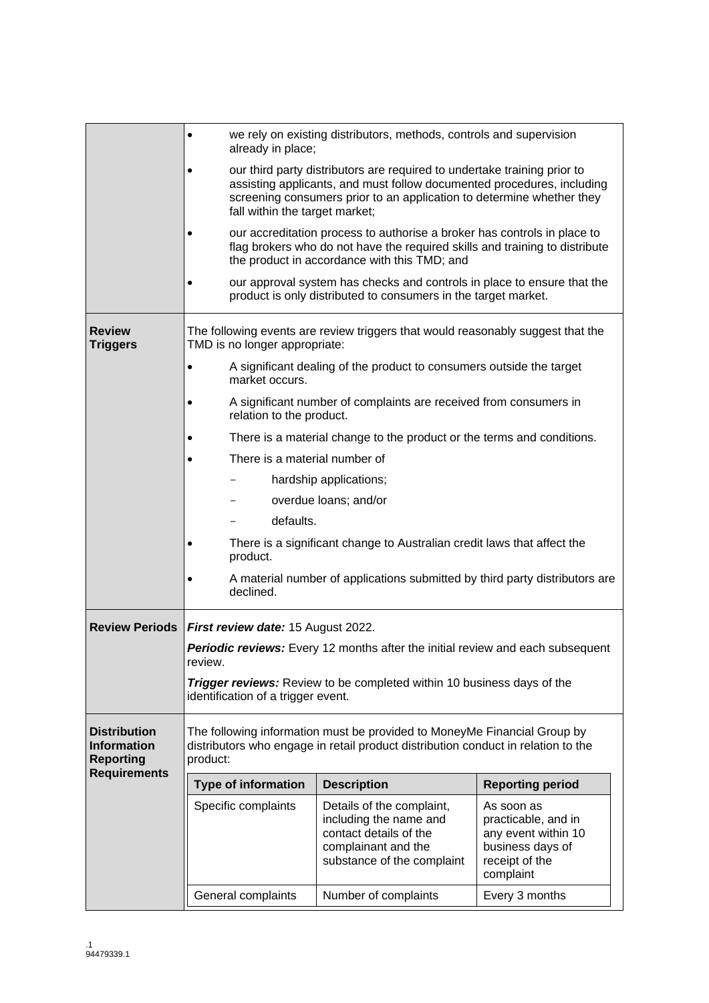|                                                                                      | we rely on existing distributors, methods, controls and supervision<br>$\bullet$<br>already in place; |                                                                                                                                                                                                                                                               |                                                                                                                                                                                                         |                                                                                                             |  |  |  |
|--------------------------------------------------------------------------------------|-------------------------------------------------------------------------------------------------------|---------------------------------------------------------------------------------------------------------------------------------------------------------------------------------------------------------------------------------------------------------------|---------------------------------------------------------------------------------------------------------------------------------------------------------------------------------------------------------|-------------------------------------------------------------------------------------------------------------|--|--|--|
|                                                                                      |                                                                                                       | our third party distributors are required to undertake training prior to<br>assisting applicants, and must follow documented procedures, including<br>screening consumers prior to an application to determine whether they<br>fall within the target market; |                                                                                                                                                                                                         |                                                                                                             |  |  |  |
|                                                                                      |                                                                                                       |                                                                                                                                                                                                                                                               | our accreditation process to authorise a broker has controls in place to<br>flag brokers who do not have the required skills and training to distribute<br>the product in accordance with this TMD; and |                                                                                                             |  |  |  |
|                                                                                      |                                                                                                       |                                                                                                                                                                                                                                                               | our approval system has checks and controls in place to ensure that the<br>product is only distributed to consumers in the target market.                                                               |                                                                                                             |  |  |  |
| <b>Review</b><br><b>Triggers</b>                                                     |                                                                                                       | The following events are review triggers that would reasonably suggest that the<br>TMD is no longer appropriate:                                                                                                                                              |                                                                                                                                                                                                         |                                                                                                             |  |  |  |
|                                                                                      | $\bullet$                                                                                             | A significant dealing of the product to consumers outside the target<br>market occurs.                                                                                                                                                                        |                                                                                                                                                                                                         |                                                                                                             |  |  |  |
|                                                                                      |                                                                                                       | A significant number of complaints are received from consumers in<br>relation to the product.                                                                                                                                                                 |                                                                                                                                                                                                         |                                                                                                             |  |  |  |
|                                                                                      |                                                                                                       | There is a material change to the product or the terms and conditions.                                                                                                                                                                                        |                                                                                                                                                                                                         |                                                                                                             |  |  |  |
|                                                                                      |                                                                                                       | There is a material number of                                                                                                                                                                                                                                 |                                                                                                                                                                                                         |                                                                                                             |  |  |  |
|                                                                                      |                                                                                                       | hardship applications;                                                                                                                                                                                                                                        |                                                                                                                                                                                                         |                                                                                                             |  |  |  |
|                                                                                      |                                                                                                       | overdue loans; and/or                                                                                                                                                                                                                                         |                                                                                                                                                                                                         |                                                                                                             |  |  |  |
|                                                                                      |                                                                                                       | defaults.                                                                                                                                                                                                                                                     |                                                                                                                                                                                                         |                                                                                                             |  |  |  |
|                                                                                      |                                                                                                       | There is a significant change to Australian credit laws that affect the<br>product.                                                                                                                                                                           |                                                                                                                                                                                                         |                                                                                                             |  |  |  |
|                                                                                      |                                                                                                       | A material number of applications submitted by third party distributors are<br>declined.                                                                                                                                                                      |                                                                                                                                                                                                         |                                                                                                             |  |  |  |
| <b>Review Periods</b>                                                                |                                                                                                       | First review date: 15 August 2022.                                                                                                                                                                                                                            |                                                                                                                                                                                                         |                                                                                                             |  |  |  |
|                                                                                      |                                                                                                       |                                                                                                                                                                                                                                                               | <b>Periodic reviews:</b> Every 12 months after the initial review and each subsequent                                                                                                                   |                                                                                                             |  |  |  |
|                                                                                      | review.                                                                                               |                                                                                                                                                                                                                                                               |                                                                                                                                                                                                         |                                                                                                             |  |  |  |
|                                                                                      |                                                                                                       | <b>Trigger reviews:</b> Review to be completed within 10 business days of the<br>identification of a trigger event.                                                                                                                                           |                                                                                                                                                                                                         |                                                                                                             |  |  |  |
| <b>Distribution</b><br><b>Information</b><br><b>Reporting</b><br><b>Requirements</b> | product:                                                                                              |                                                                                                                                                                                                                                                               | The following information must be provided to MoneyMe Financial Group by<br>distributors who engage in retail product distribution conduct in relation to the                                           |                                                                                                             |  |  |  |
|                                                                                      |                                                                                                       | <b>Type of information</b>                                                                                                                                                                                                                                    | <b>Description</b>                                                                                                                                                                                      | <b>Reporting period</b>                                                                                     |  |  |  |
|                                                                                      |                                                                                                       | Specific complaints                                                                                                                                                                                                                                           | Details of the complaint,<br>including the name and<br>contact details of the<br>complainant and the<br>substance of the complaint                                                                      | As soon as<br>practicable, and in<br>any event within 10<br>business days of<br>receipt of the<br>complaint |  |  |  |
|                                                                                      |                                                                                                       | General complaints                                                                                                                                                                                                                                            | Number of complaints                                                                                                                                                                                    | Every 3 months                                                                                              |  |  |  |